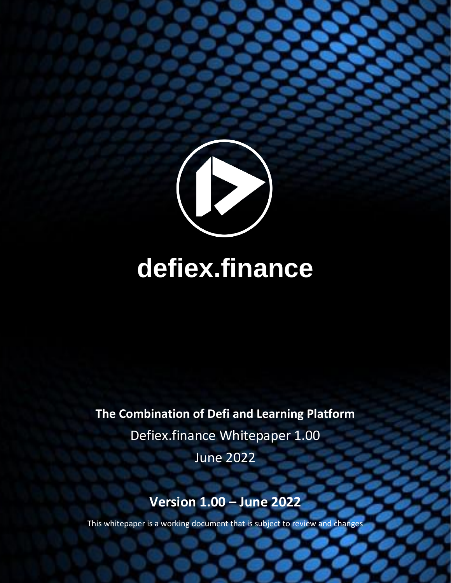

**defiex.finance**

# **defiex.finance**

**The Combination of Defi and Learning Platform** Defiex.finance Whitepaper 1.00 June 2022

**Version 1.00 – June 2022**

This whitepaper is a working document that is subject to review and changes

White Paper - Revision 1.00 © 2022 Defiex.finance Definetworx LTD – London – UK - All rights reserved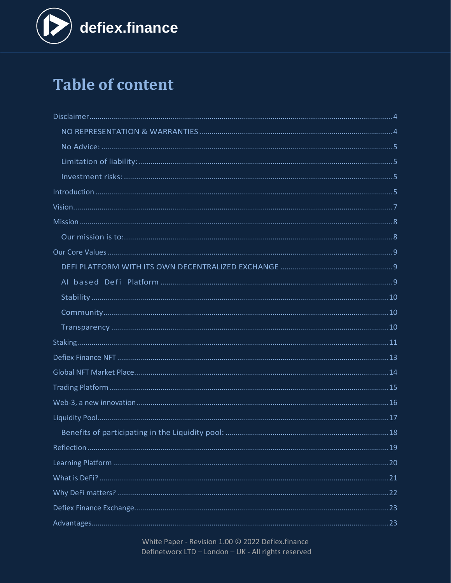

# **Table of content**

White Paper - Revision 1.00 © 2022 Defiex finance Definetworx LTD - London - UK - All rights reserved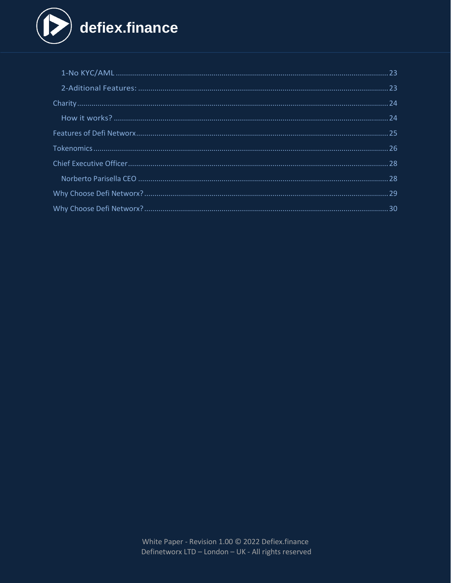

<span id="page-2-0"></span>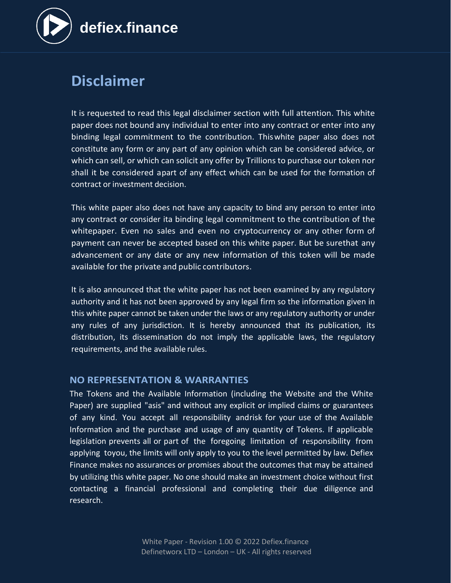

# **Disclaimer**

It is requested to read this legal disclaimer section with full attention. This white paper does not bound any individual to enter into any contract or enter into any binding legal commitment to the contribution. Thiswhite paper also does not constitute any form or any part of any opinion which can be considered advice, or which can sell, or which can solicit any offer by Trillions to purchase our token nor shall it be considered apart of any effect which can be used for the formation of contract or investment decision.

This white paper also does not have any capacity to bind any person to enter into any contract or consider ita binding legal commitment to the contribution of the whitepaper. Even no sales and even no cryptocurrency or any other form of payment can never be accepted based on this white paper. But be surethat any advancement or any date or any new information of this token will be made available for the private and public contributors.

It is also announced that the white paper has not been examined by any regulatory authority and it has not been approved by any legal firm so the information given in this white paper cannot be taken under the laws or any regulatory authority or under any rules of any jurisdiction. It is hereby announced that its publication, its distribution, its dissemination do not imply the applicable laws, the regulatory requirements, and the available rules.

#### <span id="page-3-0"></span>**NO REPRESENTATION & WARRANTIES**

The Tokens and the Available Information (including the Website and the White Paper) are supplied "asis" and without any explicit or implied claims or guarantees of any kind. You accept all responsibility andrisk for your use of the Available Information and the purchase and usage of any quantity of Tokens. If applicable legislation prevents all or part of the foregoing limitation of responsibility from applying toyou, the limits will only apply to you to the level permitted by law. Defiex Finance makes no assurances or promises about the outcomes that may be attained by utilizing this white paper. No one should make an investment choice without first contacting a financial professional and completing their due diligence and research.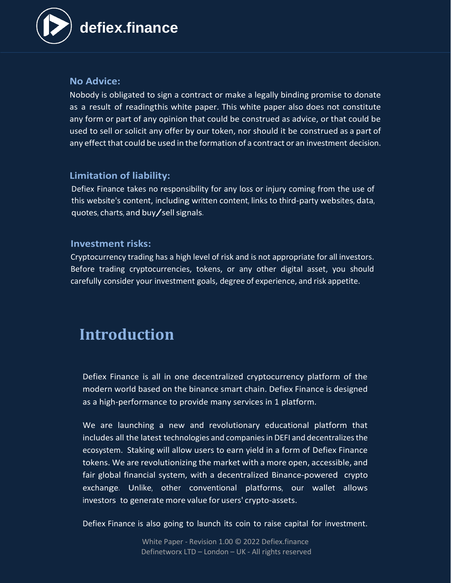

#### <span id="page-4-0"></span>**No Advice:**

Nobody is obligated to sign a contract or make a legally binding promise to donate as a result of readingthis white paper. This white paper also does not constitute any form or part of any opinion that could be construed as advice, or that could be used to sell or solicit any offer by our token, nor should it be construed as a part of any effect that could be used in the formation of a contract or an investment decision.

#### <span id="page-4-1"></span>**Limitation of liability:**

Defiex Finance takes no responsibility for any loss or injury coming from the use of this website's content, including written content, linksto third-party websites, data, quotes, charts, and buy/sellsignals.

#### <span id="page-4-2"></span>**Investment risks:**

Cryptocurrency trading has a high level of risk and is not appropriate for all investors. Before trading cryptocurrencies, tokens, or any other digital asset, you should carefully consider your investment goals, degree of experience, and risk appetite.

# <span id="page-4-3"></span>**Introduction**

Defiex Finance is all in one decentralized cryptocurrency platform of the modern world based on the binance smart chain. Defiex Finance is designed as a high-performance to provide many services in 1 platform.

We are launching a new and revolutionary educational platform that includes all the latest technologies and companiesin DEFI and decentralizesthe ecosystem. Staking will allow users to earn yield in a form of Defiex Finance tokens. We are revolutionizing the market with a more open, accessible, and fair global financial system, with a decentralized Binance-powered crypto exchange. Unlike, other conventional platforms, our wallet allows investors to generate more value for users' crypto-assets.

Defiex Finance is also going to launch its coin to raise capital for investment.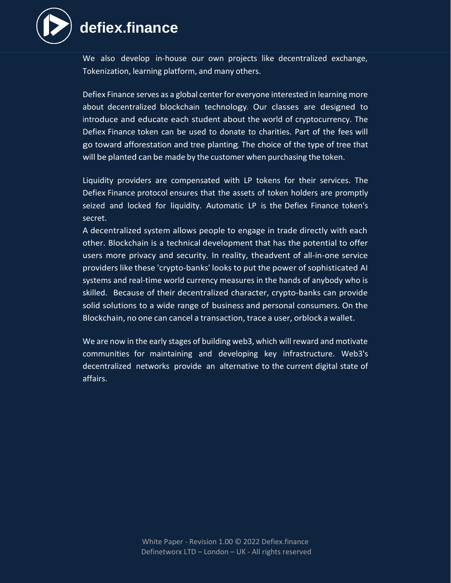**defiex.finance**



We also develop in-house our own projects like decentralized exchange, Tokenization, learning platform, and many others.

Defiex Finance serves as a global center for everyone interested in learning more about decentralized blockchain technology. Our classes are designed to introduce and educate each student about the world of cryptocurrency. The Defiex Finance token can be used to donate to charities. Part of the fees will go toward afforestation and tree planting. The choice of the type of tree that will be planted can be made by the customer when purchasing the token.

Liquidity providers are compensated with LP tokens for their services. The Defiex Finance protocol ensures that the assets of token holders are promptly seized and locked for liquidity. Automatic LP is the Defiex Finance token's secret.

A decentralized system allows people to engage in trade directly with each other. Blockchain is a technical development that has the potential to offer users more privacy and security. In reality, theadvent of all-in-one service providers like these 'crypto-banks' looks to put the power of sophisticated AI systems and real-time world currency measures in the hands of anybody who is skilled. Because of their decentralized character, crypto-banks can provide solid solutions to a wide range of business and personal consumers. On the Blockchain, no one can cancel a transaction, trace a user, orblock a wallet.

We are now in the early stages of building web3, which will reward and motivate communities for maintaining and developing key infrastructure. Web3's decentralized networks provide an alternative to the current digital state of affairs.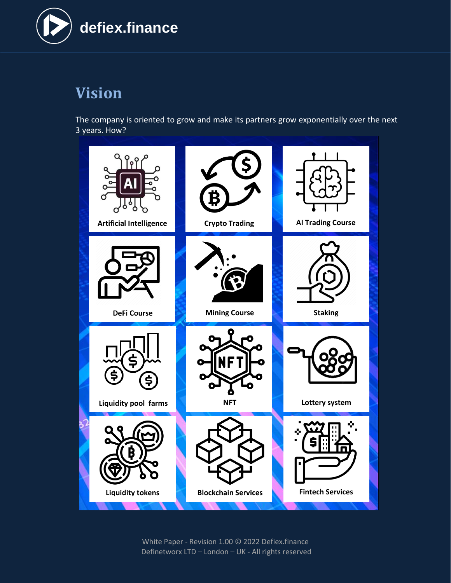

# <span id="page-6-0"></span>**Vision**

The company is oriented to grow and make its partners grow exponentially over the next 3 years. How?

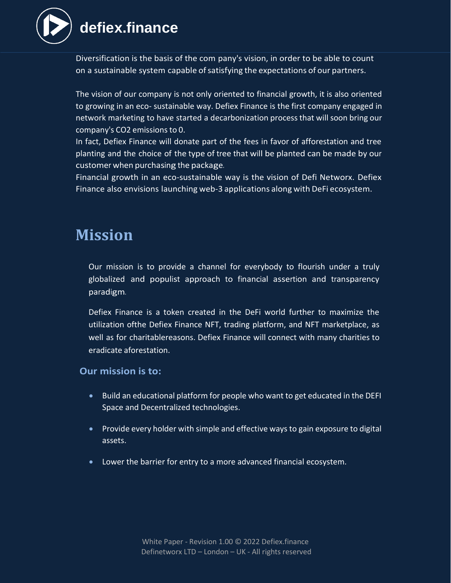**defiex.finance**



Diversification is the basis of the com pany's vision, in order to be able to count on a sustainable system capable of satisfying the expectations of our partners.

The vision of our company is not only oriented to financial growth, it is also oriented to growing in an eco- sustainable way. Defiex Finance is the first company engaged in network marketing to have started a decarbonization processthat will soon bring our company's CO2 emissions to 0.

In fact, Defiex Finance will donate part of the fees in favor of afforestation and tree planting and the choice of the type of tree that will be planted can be made by our customer when purchasing the package.

Financial growth in an eco-sustainable way is the vision of Defi Networx. Defiex Finance also envisions launching web-3 applications along with DeFi ecosystem.

### <span id="page-7-0"></span>**Mission**

Our mission is to provide a channel for everybody to flourish under a truly globalized and populist approach to financial assertion and transparency paradigm.

Defiex Finance is a token created in the DeFi world further to maximize the utilization ofthe Defiex Finance NFT, trading platform, and NFT marketplace, as well as for charitablereasons. Defiex Finance will connect with many charities to eradicate aforestation.

#### <span id="page-7-1"></span>**Our mission is to:**

- Build an educational platform for people who want to get educated in the DEFI Space and Decentralized technologies.
- Provide every holder with simple and effective ways to gain exposure to digital assets.
- Lower the barrier for entry to a more advanced financial ecosystem.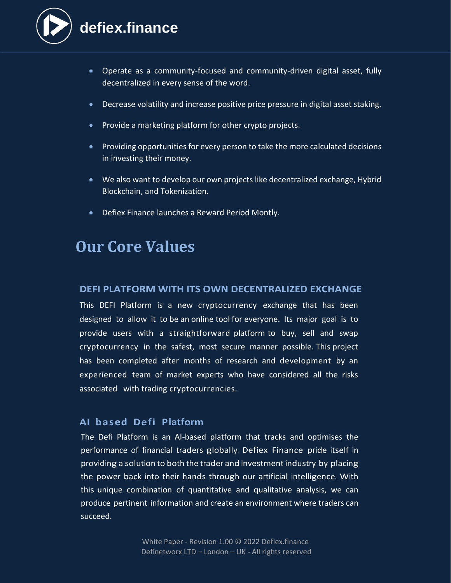

- Operate as a community-focused and community-driven digital asset, fully decentralized in every sense of the word.
- Decrease volatility and increase positive price pressure in digital asset staking.
- Provide a marketing platform for other crypto projects.
- Providing opportunities for every person to take the more calculated decisions in investing their money.
- We also want to develop our own projects like decentralized exchange, Hybrid Blockchain, and Tokenization.
- Defiex Finance launches a Reward Period Montly.

### <span id="page-8-0"></span>**Our Core Values**

#### <span id="page-8-1"></span>**DEFI PLATFORM WITH ITS OWN DECENTRALIZED EXCHANGE**

This DEFI Platform is a new cryptocurrency exchange that has been designed to allow it to be an online tool for everyone. Its major goal is to provide users with a straightforward platform to buy, sell and swap cryptocurrency in the safest, most secure manner possible. This project has been completed after months of research and development by an experienced team of market experts who have considered all the risks associated with trading cryptocurrencies.

#### <span id="page-8-2"></span>**AI based Defi Platform**

The Defi Platform is an AI-based platform that tracks and optimises the performance of financial traders globally. Defiex Finance pride itself in providing a solution to both the trader and investment industry by placing the power back into their hands through our artificial intelligence. With this unique combination of quantitative and qualitative analysis, we can produce pertinent information and create an environment where traders can succeed.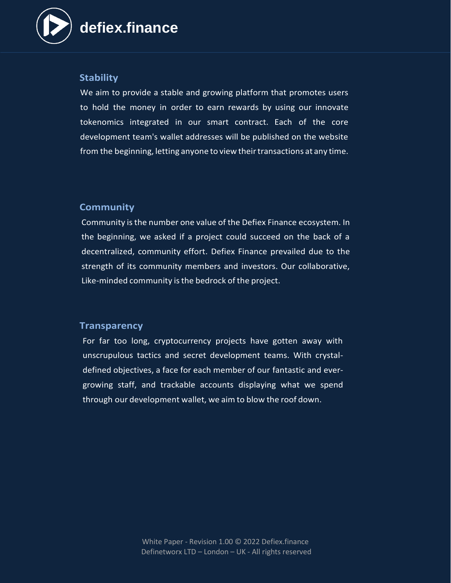

#### <span id="page-9-0"></span>**Stability**

We aim to provide a stable and growing platform that promotes users to hold the money in order to earn rewards by using our innovate tokenomics integrated in our smart contract. Each of the core development team's wallet addresses will be published on the website from the beginning, letting anyone to view their transactions at any time.

#### <span id="page-9-1"></span>**Community**

Community isthe number one value of the Defiex Finance ecosystem. In the beginning, we asked if a project could succeed on the back of a decentralized, community effort. Defiex Finance prevailed due to the strength of its community members and investors. Our collaborative, Like-minded community isthe bedrock of the project.

#### <span id="page-9-2"></span>**Transparency**

For far too long, cryptocurrency projects have gotten away with unscrupulous tactics and secret development teams. With crystaldefined objectives, a face for each member of our fantastic and evergrowing staff, and trackable accounts displaying what we spend through our development wallet, we aim to blow the roof down.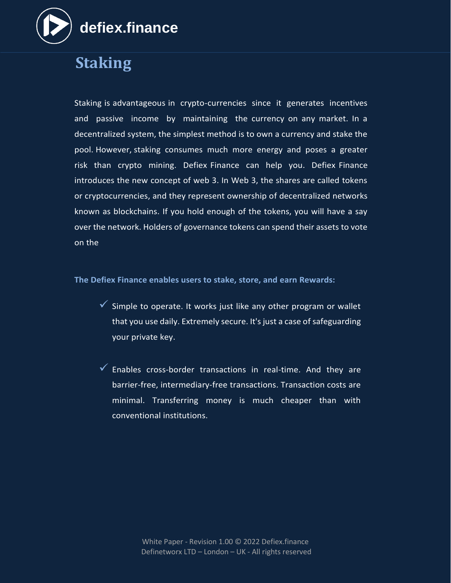

# <span id="page-10-0"></span>**Staking**

Staking is advantageous in crypto-currencies since it generates incentives and passive income by maintaining the currency on any market. In a decentralized system, the simplest method is to own a currency and stake the pool. However, staking consumes much more energy and poses a greater risk than crypto mining. Defiex Finance can help you. Defiex Finance introduces the new concept of web 3. In Web  $3$ , the shares are called tokens or cryptocurrencies, and they represent ownership of decentralized networks known as blockchains. If you hold enough of the tokens, you will have a say over the network. Holders of governance tokens can spend their assets to vote on the

**The Defiex Finance enables users to stake, store, and earn Rewards:**

- $\checkmark$  Simple to operate. It works just like any other program or wallet that you use daily. Extremely secure. It's just a case of safeguarding your private key.
- $\checkmark$  Enables cross-border transactions in real-time. And they are barrier-free, intermediary-free transactions. Transaction costs are minimal. Transferring money is much cheaper than with conventional institutions.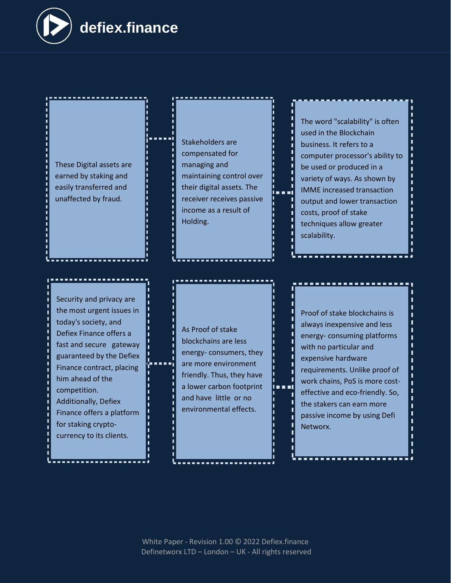

These Digital assets are earned by staking and easily transferred and unaffected by fraud.

----------------

Security and privacy are the most urgent issues in today's society, and Defiex Finance offers a fast and secure gateway guaranteed by the Defiex Finance contract, placing him ahead of the competition. Additionally, Defiex Finance offers a platform for staking cryptocurrency to its clients.

. . . . . . . . . . . . . . . . . .

Stakeholders are compensated for managing and maintaining control over their digital assets. The receiver receives passive income as a result of Holding.

As Proof of stake blockchains are less energy- consumers, they are more environment friendly. Thus, they have a lower carbon footprint and have little or no environmental effects.

The word "scalability" is often used in the Blockchain business. It refers to a computer processor's ability to be used or produced in a variety of ways. As shown by IMME increased transaction output and lower transaction costs, proof of stake techniques allow greater scalability.

Proof of stake blockchains is always inexpensive and less energy- consuming platforms with no particular and expensive hardware requirements. Unlike proof of work chains, PoS is more costeffective and eco-friendly. So, the stakers can earn more passive income by using Defi Networx.

u۱,

----------------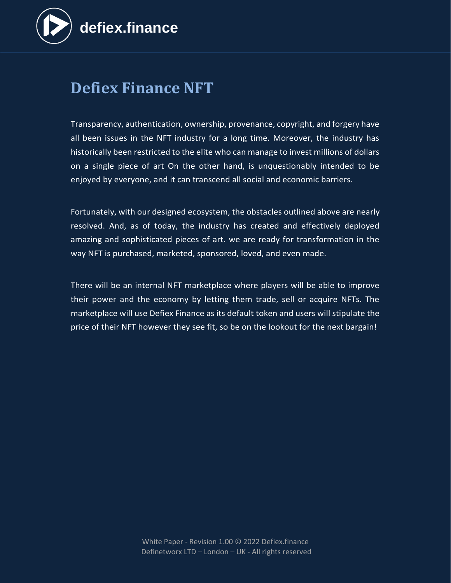

# <span id="page-12-0"></span>**Defiex Finance NFT**

Transparency, authentication, ownership, provenance, copyright, and forgery have all been issues in the NFT industry for a long time. Moreover, the industry has historically been restricted to the elite who can manage to invest millions of dollars on a single piece of art On the other hand, is unquestionably intended to be enjoyed by everyone, and it can transcend all social and economic barriers.

Fortunately, with our designed ecosystem, the obstacles outlined above are nearly resolved. And, as of today, the industry has created and effectively deployed amazing and sophisticated pieces of art. we are ready for transformation in the way NFT is purchased, marketed, sponsored, loved, and even made.

There will be an internal NFT marketplace where players will be able to improve their power and the economy by letting them trade, sell or acquire NFTs. The marketplace will use Defiex Finance as its default token and users will stipulate the price of their NFT however they see fit, so be on the lookout for the next bargain!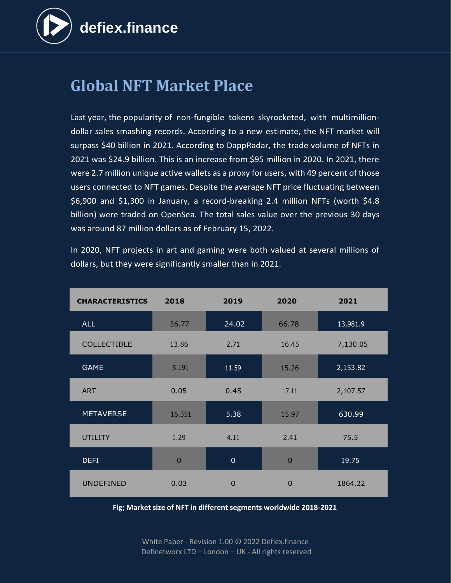

# <span id="page-13-0"></span>**Global NFT Market Place**

Last year, the popularity of non-fungible tokens skyrocketed, with multimilliondollar sales smashing records. According to a new estimate, the NFT market will surpass \$40 billion in 2021. According to DappRadar, the trade volume of NFTs in 2021 was \$24.9 billion. This is an increase from \$95 million in 2020. In 2021, there were 2.7 million unique active wallets as a proxy for users, with 49 percent of those users connected to NFT games. Despite the average NFT price fluctuating between \$6,900 and \$1,300 in January, a record-breaking 2.4 million NFTs (worth \$4.8 billion) were traded on OpenSea. The total sales value over the previous 30 days was around 87 million dollars as of February 15, 2022.

In 2020, NFT projects in art and gaming were both valued at several millions of dollars, but they were significantly smaller than in 2021.

| <b>CHARACTERISTICS</b> | 2018     | 2019        | 2020     | 2021     |
|------------------------|----------|-------------|----------|----------|
| <b>ALL</b>             | 36.77    | 24.02       | 66.78    | 13,981.9 |
| <b>COLLECTIBLE</b>     | 13.86    | 2.71        | 16.45    | 7,130.05 |
| <b>GAME</b>            | 5.191    | 11.59       | 15.26    | 2,153.82 |
| <b>ART</b>             | 0.05     | 0.45        | 17.11    | 2,107.57 |
| <b>METAVERSE</b>       | 16.351   | 5.38        | 15.97    | 630.99   |
| <b>UTILITY</b>         | 1.29     | 4.11        | 2.41     | 75.5     |
| <b>DEFI</b>            | $\Omega$ | $\Omega$    | $\Omega$ | 19.75    |
| <b>UNDEFINED</b>       | 0.03     | $\mathbf 0$ | $\Omega$ | 1864.22  |

**Fig; Market size of NFT in different segments worldwide 2018-2021**

White Paper - Revision 1.00 © 2022 Defiex.finance Definetworx LTD – London – UK - All rights reserved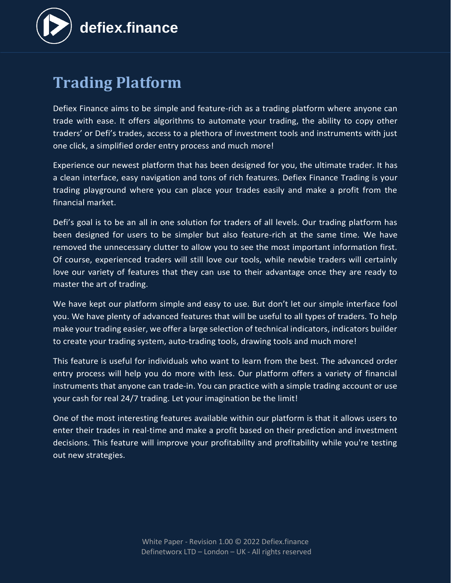

# <span id="page-14-0"></span>**Trading Platform**

Defiex Finance aims to be simple and feature-rich as a trading platform where anyone can trade with ease. It offers algorithms to automate your trading, the ability to copy other traders' or Defi's trades, access to a plethora of investment tools and instruments with just one click, a simplified order entry process and much more!

Experience our newest platform that has been designed for you, the ultimate trader. It has a clean interface, easy navigation and tons of rich features. Defiex Finance Trading is your trading playground where you can place your trades easily and make a profit from the financial market.

Defi's goal is to be an all in one solution for traders of all levels. Our trading platform has been designed for users to be simpler but also feature-rich at the same time. We have removed the unnecessary clutter to allow you to see the most important information first. Of course, experienced traders will still love our tools, while newbie traders will certainly love our variety of features that they can use to their advantage once they are ready to master the art of trading.

We have kept our platform simple and easy to use. But don't let our simple interface fool you. We have plenty of advanced features that will be useful to all types of traders. To help make your trading easier, we offer a large selection of technical indicators, indicators builder to create your trading system, auto-trading tools, drawing tools and much more!

This feature is useful for individuals who want to learn from the best. The advanced order entry process will help you do more with less. Our platform offers a variety of financial instruments that anyone can trade-in. You can practice with a simple trading account or use your cash for real 24/7 trading. Let your imagination be the limit!

One of the most interesting features available within our platform is that it allows users to enter their trades in real-time and make a profit based on their prediction and investment decisions. This feature will improve your profitability and profitability while you're testing out new strategies.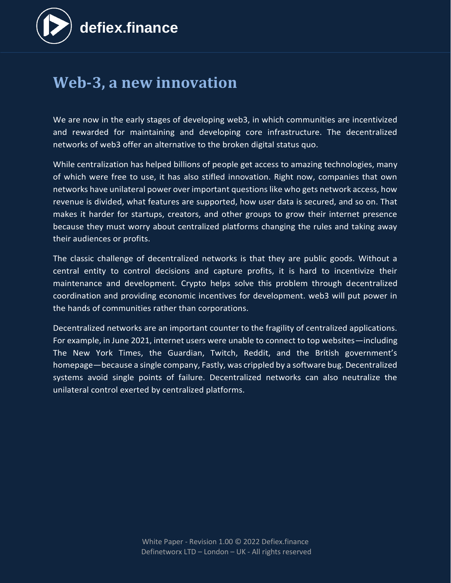

### <span id="page-15-0"></span>**Web-3, a new innovation**

We are now in the early stages of developing web3, in which communities are incentivized and rewarded for maintaining and developing core infrastructure. The decentralized networks of web3 offer an alternative to the broken digital status quo.

While centralization has helped billions of people get access to amazing technologies, many of which were free to use, it has also stifled innovation. Right now, companies that own networks have unilateral power over important questions like who gets network access, how revenue is divided, what features are supported, how user data is secured, and so on. That makes it harder for startups, creators, and other groups to grow their internet presence because they must worry about centralized platforms changing the rules and taking away their audiences or profits.

The classic challenge of decentralized networks is that they are public goods. Without a central entity to control decisions and capture profits, it is hard to incentivize their maintenance and development. Crypto helps solve this problem through decentralized coordination and providing economic incentives for development. web3 will put power in the hands of communities rather than corporations.

Decentralized networks are an important counter to the fragility of centralized applications. For example, in June 2021, internet users were unable to connect to top websites—including The New York Times, the Guardian, Twitch, Reddit, and the British government's homepage—because a single company, Fastly, was crippled by a software bug. Decentralized systems avoid single points of failure. Decentralized networks can also neutralize the unilateral control exerted by centralized platforms.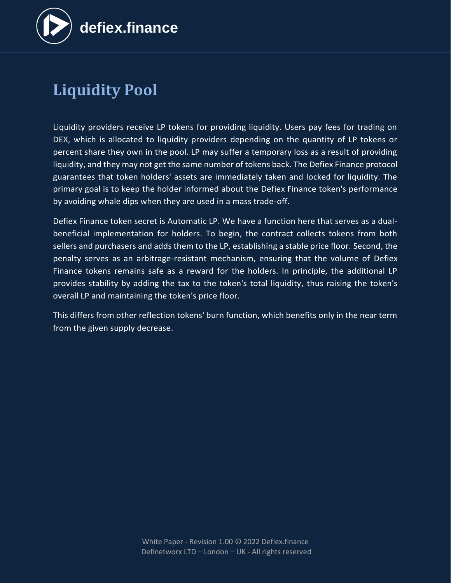

# <span id="page-16-0"></span>**Liquidity Pool**

Liquidity providers receive LP tokens for providing liquidity. Users pay fees for trading on DEX, which is allocated to liquidity providers depending on the quantity of LP tokens or percent share they own in the pool. LP may suffer a temporary loss as a result of providing liquidity, and they may not get the same number of tokens back. The Defiex Finance protocol guarantees that token holders' assets are immediately taken and locked for liquidity. The primary goal is to keep the holder informed about the Defiex Finance token's performance by avoiding whale dips when they are used in a mass trade-off.

Defiex Finance token secret is Automatic LP. We have a function here that serves as a dualbeneficial implementation for holders. To begin, the contract collects tokens from both sellers and purchasers and adds them to the LP, establishing a stable price floor. Second, the penalty serves as an arbitrage-resistant mechanism, ensuring that the volume of Defiex Finance tokens remains safe as a reward for the holders. In principle, the additional LP provides stability by adding the tax to the token's total liquidity, thus raising the token's overall LP and maintaining the token's price floor.

This differs from other reflection tokens' burn function, which benefits only in the near term from the given supply decrease.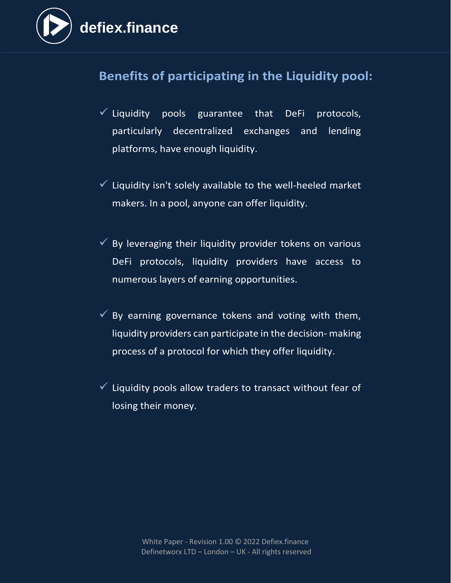

### <span id="page-17-0"></span>**Benefits of participating in the Liquidity pool:**

- $\checkmark$  Liquidity pools guarantee that DeFi protocols, particularly decentralized exchanges and lending platforms, have enough liquidity.
- $\checkmark$  Liquidity isn't solely available to the well-heeled market makers. In a pool, anyone can offer liquidity.
- $\checkmark$  By leveraging their liquidity provider tokens on various DeFi protocols, liquidity providers have access to numerous layers of earning opportunities.
- $\checkmark$  By earning governance tokens and voting with them, liquidity providers can participate in the decision- making process of a protocol for which they offer liquidity.
- $\checkmark$  Liquidity pools allow traders to transact without fear of losing their money.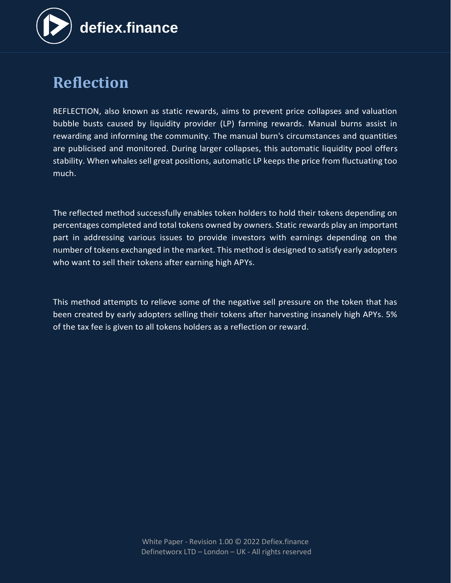

# <span id="page-18-0"></span>**Reflection**

REFLECTION, also known as static rewards, aims to prevent price collapses and valuation bubble busts caused by liquidity provider (LP) farming rewards. Manual burns assist in rewarding and informing the community. The manual burn's circumstances and quantities are publicised and monitored. During larger collapses, this automatic liquidity pool offers stability. When whales sell great positions, automatic LP keeps the price from fluctuating too much.

The reflected method successfully enables token holders to hold their tokens depending on percentages completed and total tokens owned by owners. Static rewards play an important part in addressing various issues to provide investors with earnings depending on the number of tokens exchanged in the market. This method is designed to satisfy early adopters who want to sell their tokens after earning high APYs.

This method attempts to relieve some of the negative sell pressure on the token that has been created by early adopters selling their tokens after harvesting insanely high APYs. 5% of the tax fee is given to all tokens holders as a reflection or reward.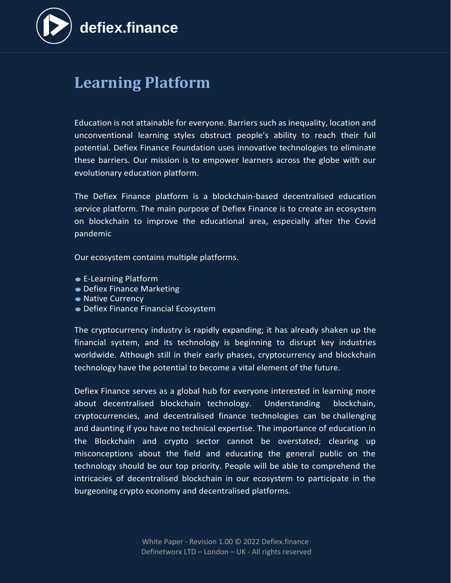

# <span id="page-19-0"></span>**Learning Platform**

Education is not attainable for everyone. Barriers such as inequality, location and unconventional learning styles obstruct people's ability to reach their full potential. Defiex Finance Foundation uses innovative technologies to eliminate these barriers. Our mission is to empower learners across the globe with our evolutionary education platform.

The Defiex Finance platform is a blockchain-based decentralised education service platform. The main purpose of Defiex Finance is to create an ecosystem on blockchain to improve the educational area, especially after the Covid pandemic

Our ecosystem contains multiple platforms.

- E-Learning Platform
- Defiex Finance Marketing
- Native Currency
- Defiex Finance Financial Ecosystem

The cryptocurrency industry is rapidly expanding; it has already shaken up the financial system, and its technology is beginning to disrupt key industries worldwide. Although still in their early phases, cryptocurrency and blockchain technology have the potential to become a vital element of the future.

Defiex Finance serves as a global hub for everyone interested in learning more about decentralised blockchain technology. Understanding blockchain, cryptocurrencies, and decentralised finance technologies can be challenging and daunting if you have no technical expertise. The importance of education in the Blockchain and crypto sector cannot be overstated; clearing up misconceptions about the field and educating the general public on the technology should be our top priority. People will be able to comprehend the intricacies of decentralised blockchain in our ecosystem to participate in the burgeoning crypto economy and decentralised platforms.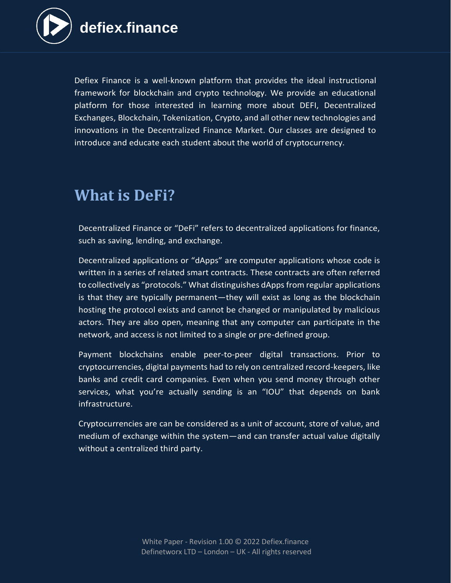

Defiex Finance is a well-known platform that provides the ideal instructional framework for blockchain and crypto technology. We provide an educational platform for those interested in learning more about DEFI, Decentralized Exchanges, Blockchain, Tokenization, Crypto, and all other new technologies and innovations in the Decentralized Finance Market. Our classes are designed to introduce and educate each student about the world of cryptocurrency.

# <span id="page-20-0"></span>**What is DeFi?**

Decentralized Finance or "DeFi" refers to decentralized applications for finance, such as saving, lending, and exchange.

Decentralized applications or "dApps" are computer applications whose code is written in a series of related smart contracts. These contracts are often referred to collectively as "protocols." What distinguishes dApps from regular applications is that they are typically permanent—they will exist as long as the blockchain hosting the protocol exists and cannot be changed or manipulated by malicious actors. They are also open, meaning that any computer can participate in the network, and access is not limited to a single or pre-defined group.

Payment blockchains enable peer-to-peer digital transactions. Prior to cryptocurrencies, digital payments had to rely on centralized record-keepers, like banks and credit card companies. Even when you send money through other services, what you're actually sending is an "IOU" that depends on bank infrastructure.

Cryptocurrencies are can be considered as a unit of account, store of value, and medium of exchange within the system—and can transfer actual value digitally without a centralized third party.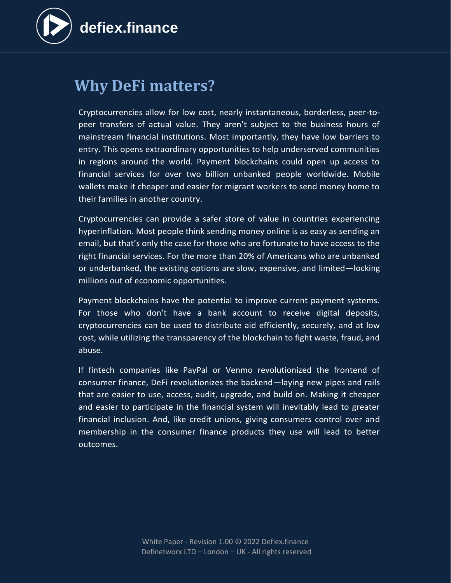

# <span id="page-21-0"></span>**Why DeFi matters?**

Cryptocurrencies allow for low cost, nearly instantaneous, borderless, peer-topeer transfers of actual value. They aren't subject to the business hours of mainstream financial institutions. Most importantly, they have low barriers to entry. This opens extraordinary opportunities to help underserved communities in regions around the world. Payment blockchains could open up access to financial services for over two billion unbanked people worldwide. Mobile wallets make it cheaper and easier for migrant workers to send money home to their families in another country.

Cryptocurrencies can provide a safer store of value in countries experiencing hyperinflation. Most people think sending money online is as easy as sending an email, but that's only the case for those who are fortunate to have access to the right financial services. For the more than 20% of Americans who are unbanked or underbanked, the existing options are slow, expensive, and limited—locking millions out of economic opportunities.

Payment blockchains have the potential to improve current payment systems. For those who don't have a bank account to receive digital deposits, cryptocurrencies can be used to distribute aid efficiently, securely, and at low cost, while utilizing the transparency of the blockchain to fight waste, fraud, and abuse.

If fintech companies like PayPal or Venmo revolutionized the frontend of consumer finance, DeFi revolutionizes the backend—laying new pipes and rails that are easier to use, access, audit, upgrade, and build on. Making it cheaper and easier to participate in the financial system will inevitably lead to greater financial inclusion. And, like credit unions, giving consumers control over and membership in the consumer finance products they use will lead to better outcomes.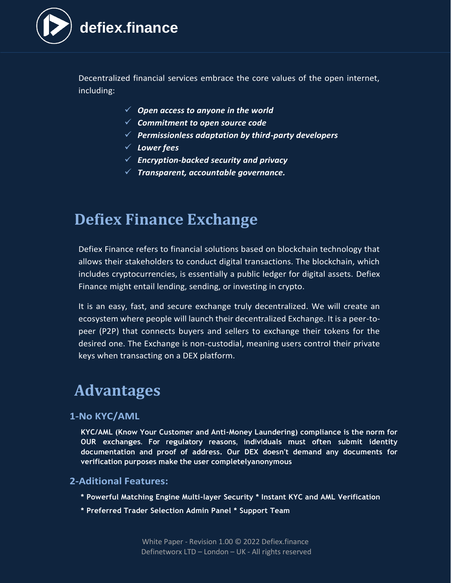

Decentralized financial services embrace the core values of the open internet, including:

- ✓ *Open access to anyone in the world*
- ✓ *Commitment to open source code*
- ✓ *Permissionless adaptation by third-party developers*
- ✓ *Lower fees*
- ✓ *Encryption-backed security and privacy*
- ✓ *Transparent, accountable governance.*

### <span id="page-22-0"></span>**Defiex Finance Exchange**

Defiex Finance refers to financial solutions based on blockchain technology that allows their stakeholders to conduct digital transactions. The blockchain, which includes cryptocurrencies, is essentially a public ledger for digital assets. Defiex Finance might entail lending, sending, or investing in crypto.

It is an easy, fast, and secure exchange truly decentralized. We will create an ecosystem where people will launch their decentralized Exchange. It is a peer-topeer (P2P) that connects buyers and sellers to exchange their tokens for the desired one. The Exchange is non-custodial, meaning users control their private keys when transacting on a DEX platform.

# <span id="page-22-1"></span>**Advantages**

#### <span id="page-22-2"></span>**1-No KYC/AML**

**KYC/AML (Know Your Customer and Anti-Money Laundering) compliance is the norm for OUR exchanges. For regulatory reasons, individuals must often submit identity documentation and proof of address. Our DEX doesn't demand any documents for verification purposes make the user completelyanonymous**

#### <span id="page-22-3"></span>**2-Aditional Features:**

- **\* Powerful Matching Engine Multi-layer Security \* Instant KYC and AML Verification**
- **\* Preferred Trader Selection Admin Panel \* Support Team**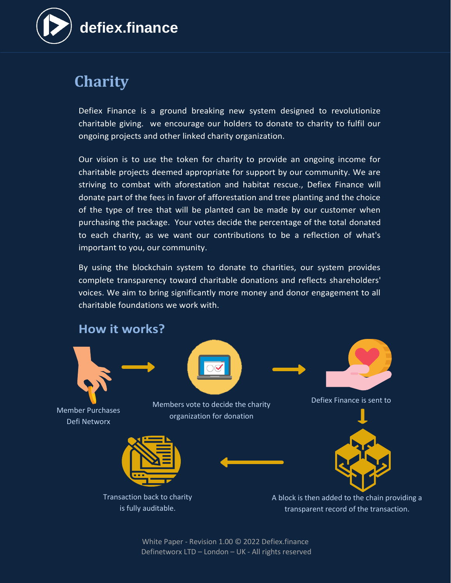

# <span id="page-23-0"></span>**Charity**

Defiex Finance is a ground breaking new system designed to revolutionize charitable giving. we encourage our holders to donate to charity to fulfil our ongoing projects and other linked charity organization.

Our vision is to use the token for charity to provide an ongoing income for charitable projects deemed appropriate for support by our community. We are striving to combat with aforestation and habitat rescue., Defiex Finance will donate part of the fees in favor of afforestation and tree planting and the choice of the type of tree that will be planted can be made by our customer when purchasing the package. Your votes decide the percentage of the total donated to each charity, as we want our contributions to be a reflection of what's important to you, our community.

By using the blockchain system to donate to charities, our system provides complete transparency toward charitable donations and reflects shareholders' voices. We aim to bring significantly more money and donor engagement to all charitable foundations we work with.

<span id="page-23-1"></span>

A block is then added to the chain providing a transparent record of the transaction.

White Paper - Revision 1.00 © 2022 Defiex.finance Definetworx LTD – London – UK - All rights reserved

is fully auditable.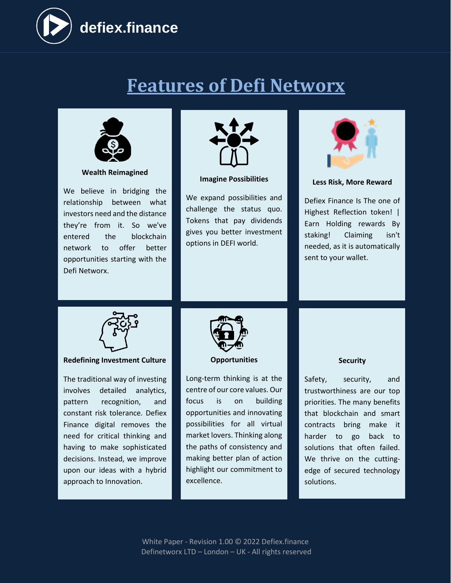<span id="page-24-0"></span>

# **Features of Defi Networx**



#### **Wealth Reimagined**

We believe in bridging the relationship between what investors need and the distance they're from it. So we've entered the blockchain network to offer better opportunities starting with the Defi Networx.



#### **Imagine Possibilities**

We expand possibilities and challenge the status quo. Tokens that pay dividends gives you better investment options in DEFI world.



#### **Less Risk, More Reward**

Defiex Finance Is The one of Highest Reflection token! | Earn Holding rewards By staking! Claiming isn't needed, as it is automatically sent to your wallet.



#### **Redefining Investment Culture**

The traditional way of investing involves detailed analytics, pattern recognition, and constant risk tolerance. Defiex Finance digital removes the need for critical thinking and having to make sophisticated decisions. Instead, we improve upon our ideas with a hybrid approach to Innovation.



**Opportunities**

Long-term thinking is at the centre of our core values. Our focus is on building opportunities and innovating possibilities for all virtual market lovers. Thinking along the paths of consistency and making better plan of action highlight our commitment to excellence.

#### **Security**

Safety, security, and trustworthiness are our top priorities. The many benefits that blockchain and smart contracts bring make it harder to go back to solutions that often failed. We thrive on the cuttingedge of secured technology solutions.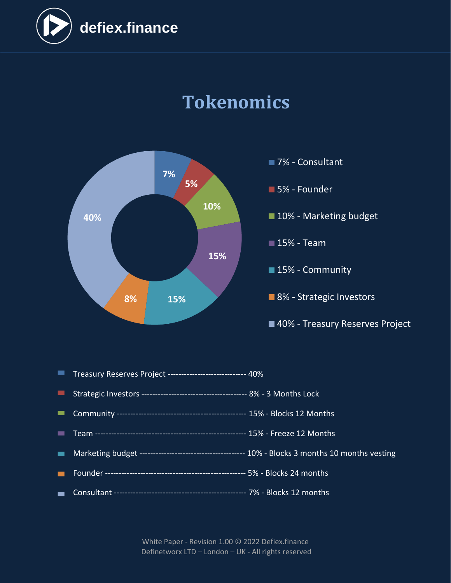



<span id="page-25-0"></span>

|                | Treasury Reserves Project ----------------------------- 40% |  |
|----------------|-------------------------------------------------------------|--|
|                |                                                             |  |
|                |                                                             |  |
|                |                                                             |  |
| $\blacksquare$ |                                                             |  |
|                |                                                             |  |
|                |                                                             |  |

White Paper - Revision 1.00 © 2022 Defiex.finance Definetworx LTD – London – UK - All rights reserved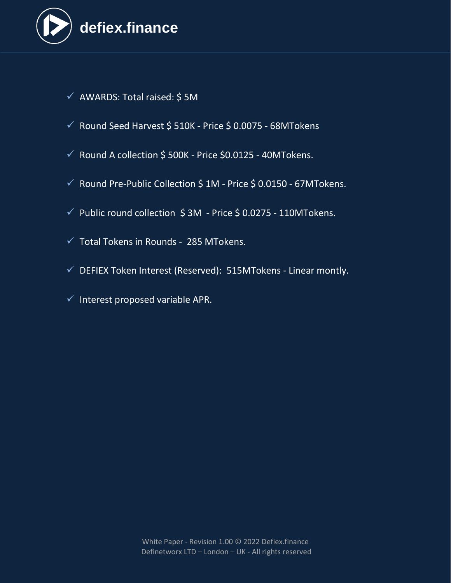

- $\checkmark$  AWARDS: Total raised: \$5M
- ✓ Round Seed Harvest \$ 510K Price \$ 0.0075 68MTokens
- $\checkmark$  Round A collection \$500K Price \$0.0125 40MTokens.
- $\checkmark$  Round Pre-Public Collection \$ 1M Price \$ 0.0150 67MTokens.
- $\checkmark$  Public round collection \$3M Price \$0.0275 110MTokens.
- $\checkmark$  Total Tokens in Rounds 285 MTokens.
- $\checkmark$  DEFIEX Token Interest (Reserved): 515MTokens Linear montly.
- $\checkmark$  Interest proposed variable APR.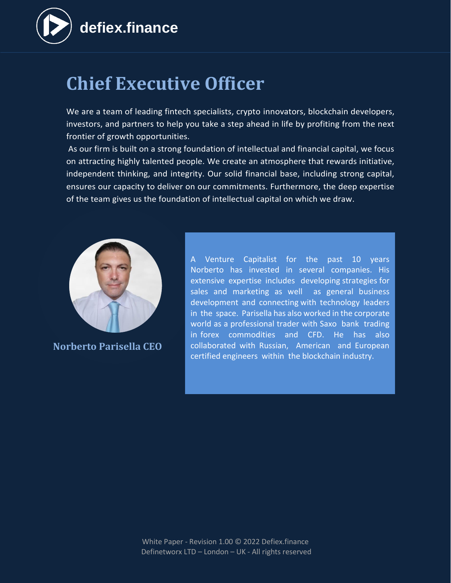

# <span id="page-27-0"></span>**Chief Executive Officer**

We are a team of leading fintech specialists, crypto innovators, blockchain developers, investors, and partners to help you take a step ahead in life by profiting from the next frontier of growth opportunities.

As our firm is built on a strong foundation of intellectual and financial capital, we focus on attracting highly talented people. We create an atmosphere that rewards initiative, independent thinking, and integrity. Our solid financial base, including strong capital, ensures our capacity to deliver on our commitments. Furthermore, the deep expertise of the team gives us the foundation of intellectual capital on which we draw.



<span id="page-27-1"></span>**Norberto Parisella CEO**

A Venture Capitalist for the past 10 years Norberto has invested in several companies. His extensive expertise includes developing strategies for sales and marketing as well as general business development and connecting with technology leaders in the space. Parisella has also worked in the corporate world as a professional trader with Saxo bank trading in forex commodities and CFD. He has also collaborated with Russian, American and European certified engineers within the blockchain industry.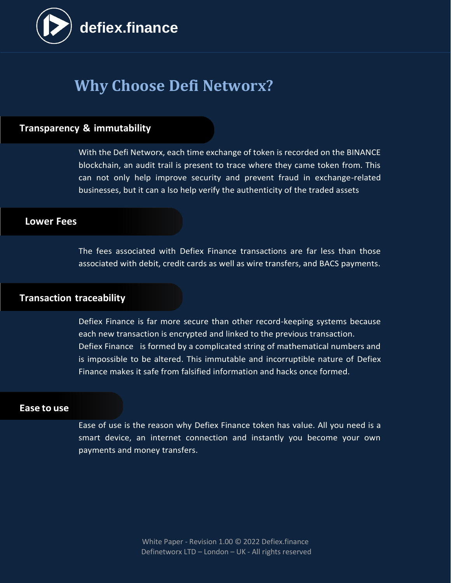

# <span id="page-28-0"></span>**Why Choose Defi Networx?**

#### **Transparency & immutability**

With the Defi Networx, each time exchange of token is recorded on the BINANCE blockchain, an audit trail is present to trace where they came token from. This can not only help improve security and prevent fraud in exchange-related businesses, but it can a lso help verify the authenticity of the traded assets

#### **Lower Fees**

The fees associated with Defiex Finance transactions are far less than those associated with debit, credit cards as well as wire transfers, and BACS payments.

#### **Transaction traceability**

Defiex Finance is far more secure than other record-keeping systems because each new transaction is encrypted and linked to the previous transaction. Defiex Finance is formed by a complicated string of mathematical numbers and is impossible to be altered. This immutable and incorruptible nature of Defiex Finance makes it safe from falsified information and hacks once formed.

#### Ease to use

Ease of use is the reason why Defiex Finance token has value. All you need is a smart device, an internet connection and instantly you become your own payments and money transfers.